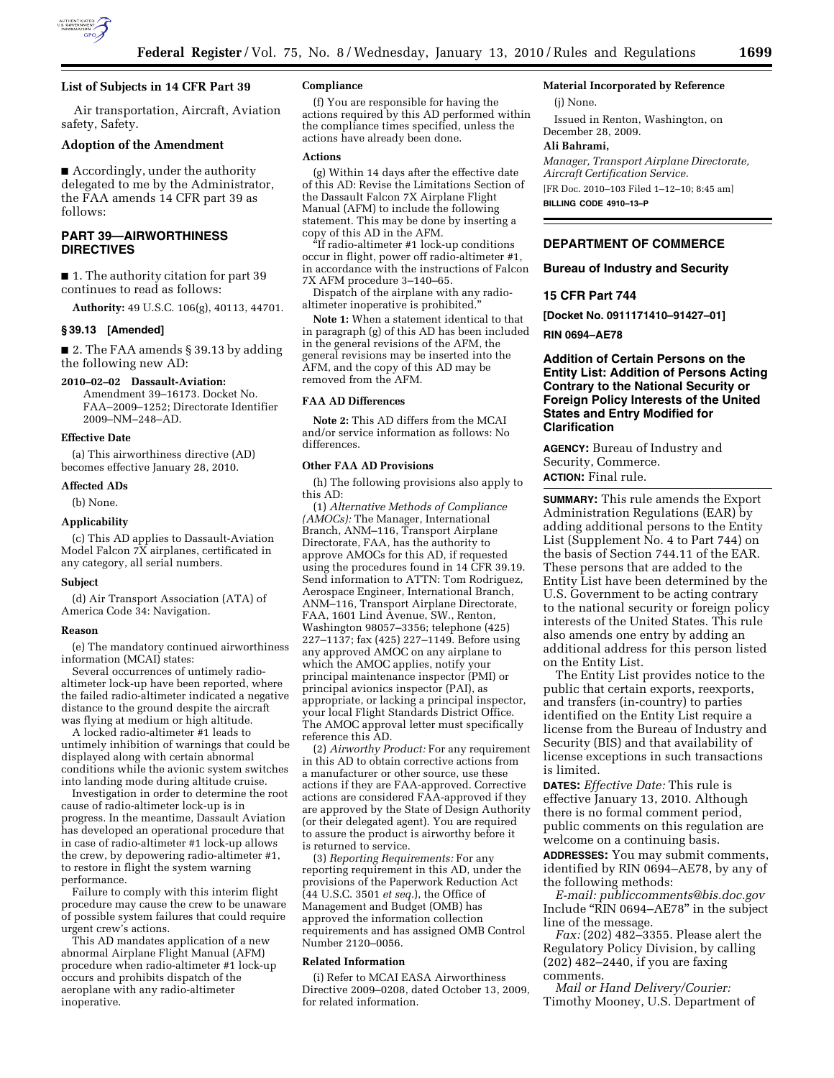

## **List of Subjects in 14 CFR Part 39**

Air transportation, Aircraft, Aviation safety, Safety.

#### **Adoption of the Amendment**

■ Accordingly, under the authority delegated to me by the Administrator, the FAA amends 14 CFR part 39 as follows:

## **PART 39—AIRWORTHINESS DIRECTIVES**

■ 1. The authority citation for part 39 continues to read as follows:

**Authority:** 49 U.S.C. 106(g), 40113, 44701.

### **§ 39.13 [Amended]**

■ 2. The FAA amends § 39.13 by adding the following new AD:

## **2010–02–02 Dassault-Aviation:**

Amendment 39–16173. Docket No. FAA–2009–1252; Directorate Identifier 2009–NM–248–AD.

### **Effective Date**

(a) This airworthiness directive (AD) becomes effective January 28, 2010.

### **Affected ADs**

(b) None.

### **Applicability**

(c) This AD applies to Dassault-Aviation Model Falcon 7X airplanes, certificated in any category, all serial numbers.

#### **Subject**

(d) Air Transport Association (ATA) of America Code 34: Navigation.

#### **Reason**

(e) The mandatory continued airworthiness information (MCAI) states:

Several occurrences of untimely radioaltimeter lock-up have been reported, where the failed radio-altimeter indicated a negative distance to the ground despite the aircraft was flying at medium or high altitude.

A locked radio-altimeter #1 leads to untimely inhibition of warnings that could be displayed along with certain abnormal conditions while the avionic system switches into landing mode during altitude cruise.

Investigation in order to determine the root cause of radio-altimeter lock-up is in progress. In the meantime, Dassault Aviation has developed an operational procedure that in case of radio-altimeter #1 lock-up allows the crew, by depowering radio-altimeter #1, to restore in flight the system warning performance.

Failure to comply with this interim flight procedure may cause the crew to be unaware of possible system failures that could require urgent crew's actions.

This AD mandates application of a new abnormal Airplane Flight Manual (AFM) procedure when radio-altimeter #1 lock-up occurs and prohibits dispatch of the aeroplane with any radio-altimeter inoperative.

## **Compliance**

(f) You are responsible for having the actions required by this AD performed within the compliance times specified, unless the actions have already been done.

### **Actions**

(g) Within 14 days after the effective date of this AD: Revise the Limitations Section of the Dassault Falcon 7X Airplane Flight Manual (AFM) to include the following statement. This may be done by inserting a copy of this AD in the AFM.

''If radio-altimeter #1 lock-up conditions occur in flight, power off radio-altimeter #1, in accordance with the instructions of Falcon 7X AFM procedure 3–140–65.

Dispatch of the airplane with any radioaltimeter inoperative is prohibited.''

**Note 1:** When a statement identical to that in paragraph (g) of this AD has been included in the general revisions of the AFM, the general revisions may be inserted into the AFM, and the copy of this AD may be removed from the AFM.

### **FAA AD Differences**

**Note 2:** This AD differs from the MCAI and/or service information as follows: No differences.

#### **Other FAA AD Provisions**

(h) The following provisions also apply to this AD:

(1) *Alternative Methods of Compliance (AMOCs):* The Manager, International Branch, ANM–116, Transport Airplane Directorate, FAA, has the authority to approve AMOCs for this AD, if requested using the procedures found in 14 CFR 39.19. Send information to ATTN: Tom Rodriguez, Aerospace Engineer, International Branch, ANM–116, Transport Airplane Directorate, FAA, 1601 Lind Avenue, SW., Renton, Washington 98057–3356; telephone (425) 227–1137; fax (425) 227–1149. Before using any approved AMOC on any airplane to which the AMOC applies, notify your principal maintenance inspector (PMI) or principal avionics inspector (PAI), as appropriate, or lacking a principal inspector, your local Flight Standards District Office. The AMOC approval letter must specifically reference this AD.

(2) *Airworthy Product:* For any requirement in this AD to obtain corrective actions from a manufacturer or other source, use these actions if they are FAA-approved. Corrective actions are considered FAA-approved if they are approved by the State of Design Authority (or their delegated agent). You are required to assure the product is airworthy before it is returned to service.

(3) *Reporting Requirements:* For any reporting requirement in this AD, under the provisions of the Paperwork Reduction Act (44 U.S.C. 3501 *et seq.*), the Office of Management and Budget (OMB) has approved the information collection requirements and has assigned OMB Control Number 2120–0056.

#### **Related Information**

(i) Refer to MCAI EASA Airworthiness Directive 2009–0208, dated October 13, 2009, for related information.

## **Material Incorporated by Reference**

(j) None.

Issued in Renton, Washington, on December 28, 2009.

#### **Ali Bahrami,**

*Manager, Transport Airplane Directorate, Aircraft Certification Service.*  [FR Doc. 2010–103 Filed 1–12–10; 8:45 am] **BILLING CODE 4910–13–P** 

### **DEPARTMENT OF COMMERCE**

**Bureau of Industry and Security** 

### **15 CFR Part 744**

**[Docket No. 0911171410–91427–01]** 

**RIN 0694–AE78** 

## **Addition of Certain Persons on the Entity List: Addition of Persons Acting Contrary to the National Security or Foreign Policy Interests of the United States and Entry Modified for Clarification**

**AGENCY:** Bureau of Industry and Security, Commerce. **ACTION:** Final rule.

**SUMMARY:** This rule amends the Export Administration Regulations (EAR) by adding additional persons to the Entity List (Supplement No. 4 to Part 744) on the basis of Section 744.11 of the EAR. These persons that are added to the Entity List have been determined by the U.S. Government to be acting contrary to the national security or foreign policy interests of the United States. This rule also amends one entry by adding an additional address for this person listed on the Entity List.

The Entity List provides notice to the public that certain exports, reexports, and transfers (in-country) to parties identified on the Entity List require a license from the Bureau of Industry and Security (BIS) and that availability of license exceptions in such transactions is limited.

**DATES:** *Effective Date:* This rule is effective January 13, 2010. Although there is no formal comment period, public comments on this regulation are welcome on a continuing basis.

**ADDRESSES:** You may submit comments, identified by RIN 0694–AE78, by any of the following methods:

*E-mail: publiccomments@bis.doc.gov*  Include ''RIN 0694–AE78'' in the subject line of the message.

*Fax:* (202) 482–3355. Please alert the Regulatory Policy Division, by calling (202) 482–2440, if you are faxing comments.

*Mail or Hand Delivery/Courier:*  Timothy Mooney, U.S. Department of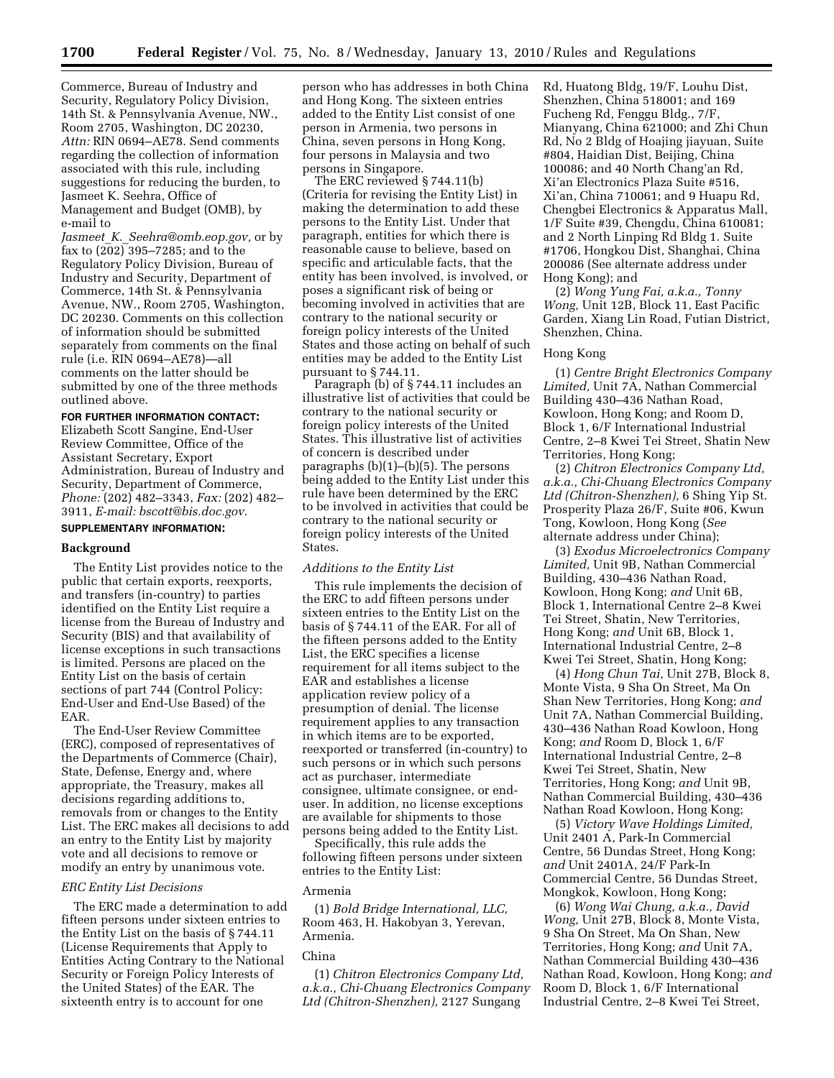Commerce, Bureau of Industry and Security, Regulatory Policy Division, 14th St. & Pennsylvania Avenue, NW., Room 2705, Washington, DC 20230, *Attn:* RIN 0694–AE78. Send comments regarding the collection of information associated with this rule, including suggestions for reducing the burden, to Jasmeet K. Seehra, Office of Management and Budget (OMB), by e-mail to

*Jasmeet*\_*K.*\_*Seehra@omb.eop.gov,* or by fax to (202) 395–7285; and to the Regulatory Policy Division, Bureau of Industry and Security, Department of Commerce, 14th St. & Pennsylvania Avenue, NW., Room 2705, Washington, DC 20230. Comments on this collection of information should be submitted separately from comments on the final rule (i.e. RIN 0694–AE78)—all comments on the latter should be submitted by one of the three methods outlined above.

## **FOR FURTHER INFORMATION CONTACT:**

Elizabeth Scott Sangine, End-User Review Committee, Office of the Assistant Secretary, Export Administration, Bureau of Industry and Security, Department of Commerce, *Phone:* (202) 482–3343, *Fax:* (202) 482– 3911, *E-mail: bscott@bis.doc.gov.* 

## **SUPPLEMENTARY INFORMATION:**

#### **Background**

The Entity List provides notice to the public that certain exports, reexports, and transfers (in-country) to parties identified on the Entity List require a license from the Bureau of Industry and Security (BIS) and that availability of license exceptions in such transactions is limited. Persons are placed on the Entity List on the basis of certain sections of part 744 (Control Policy: End-User and End-Use Based) of the EAR.

The End-User Review Committee (ERC), composed of representatives of the Departments of Commerce (Chair), State, Defense, Energy and, where appropriate, the Treasury, makes all decisions regarding additions to, removals from or changes to the Entity List. The ERC makes all decisions to add an entry to the Entity List by majority vote and all decisions to remove or modify an entry by unanimous vote.

#### *ERC Entity List Decisions*

The ERC made a determination to add fifteen persons under sixteen entries to the Entity List on the basis of § 744.11 (License Requirements that Apply to Entities Acting Contrary to the National Security or Foreign Policy Interests of the United States) of the EAR. The sixteenth entry is to account for one

person who has addresses in both China and Hong Kong. The sixteen entries added to the Entity List consist of one person in Armenia, two persons in China, seven persons in Hong Kong, four persons in Malaysia and two persons in Singapore.

The ERC reviewed § 744.11(b) (Criteria for revising the Entity List) in making the determination to add these persons to the Entity List. Under that paragraph, entities for which there is reasonable cause to believe, based on specific and articulable facts, that the entity has been involved, is involved, or poses a significant risk of being or becoming involved in activities that are contrary to the national security or foreign policy interests of the United States and those acting on behalf of such entities may be added to the Entity List pursuant to § 744.11.

Paragraph (b) of § 744.11 includes an illustrative list of activities that could be contrary to the national security or foreign policy interests of the United States. This illustrative list of activities of concern is described under paragraphs (b)(1)–(b)(5). The persons being added to the Entity List under this rule have been determined by the ERC to be involved in activities that could be contrary to the national security or foreign policy interests of the United States.

### *Additions to the Entity List*

This rule implements the decision of the ERC to add fifteen persons under sixteen entries to the Entity List on the basis of § 744.11 of the EAR. For all of the fifteen persons added to the Entity List, the ERC specifies a license requirement for all items subject to the EAR and establishes a license application review policy of a presumption of denial. The license requirement applies to any transaction in which items are to be exported, reexported or transferred (in-country) to such persons or in which such persons act as purchaser, intermediate consignee, ultimate consignee, or enduser. In addition, no license exceptions are available for shipments to those persons being added to the Entity List.

Specifically, this rule adds the following fifteen persons under sixteen entries to the Entity List:

#### Armenia

(1) *Bold Bridge International, LLC,*  Room 463, H. Hakobyan 3, Yerevan, Armenia.

## China

(1) *Chitron Electronics Company Ltd, a.k.a., Chi-Chuang Electronics Company Ltd (Chitron-Shenzhen),* 2127 Sungang

Rd, Huatong Bldg, 19/F, Louhu Dist, Shenzhen, China 518001; and 169 Fucheng Rd, Fenggu Bldg., 7/F, Mianyang, China 621000; and Zhi Chun Rd, No 2 Bldg of Hoajing jiayuan, Suite #804, Haidian Dist, Beijing, China 100086; and 40 North Chang'an Rd, Xi'an Electronics Plaza Suite #516, Xi'an, China 710061; and 9 Huapu Rd, Chengbei Electronics & Apparatus Mall, 1/F Suite #39, Chengdu, China 610081; and 2 North Linping Rd Bldg 1. Suite #1706, Hongkou Dist, Shanghai, China 200086 (See alternate address under Hong Kong); and

(2) *Wong Yung Fai, a.k.a., Tonny Wong,* Unit 12B, Block 11, East Pacific Garden, Xiang Lin Road, Futian District, Shenzhen, China.

### Hong Kong

(1) *Centre Bright Electronics Company Limited,* Unit 7A, Nathan Commercial Building 430–436 Nathan Road, Kowloon, Hong Kong; and Room D, Block 1, 6/F International Industrial Centre, 2–8 Kwei Tei Street, Shatin New Territories, Hong Kong;

(2) *Chitron Electronics Company Ltd, a.k.a., Chi-Chuang Electronics Company Ltd (Chitron-Shenzhen),* 6 Shing Yip St. Prosperity Plaza 26/F, Suite #06, Kwun Tong, Kowloon, Hong Kong (*See*  alternate address under China);

(3) *Exodus Microelectronics Company Limited,* Unit 9B, Nathan Commercial Building, 430–436 Nathan Road, Kowloon, Hong Kong; *and* Unit 6B, Block 1, International Centre 2–8 Kwei Tei Street, Shatin, New Territories, Hong Kong; *and* Unit 6B, Block 1, International Industrial Centre, 2–8 Kwei Tei Street, Shatin, Hong Kong;

(4) *Hong Chun Tai,* Unit 27B, Block 8, Monte Vista, 9 Sha On Street, Ma On Shan New Territories, Hong Kong; *and*  Unit 7A, Nathan Commercial Building, 430–436 Nathan Road Kowloon, Hong Kong; *and* Room D, Block 1, 6/F International Industrial Centre, 2–8 Kwei Tei Street, Shatin, New Territories, Hong Kong; *and* Unit 9B, Nathan Commercial Building, 430–436 Nathan Road Kowloon, Hong Kong;

(5) *Victory Wave Holdings Limited,*  Unit 2401 A, Park-In Commercial Centre, 56 Dundas Street, Hong Kong; *and* Unit 2401A, 24/F Park-In Commercial Centre, 56 Dundas Street, Mongkok, Kowloon, Hong Kong;

(6) *Wong Wai Chung, a.k.a., David Wong,* Unit 27B, Block 8, Monte Vista, 9 Sha On Street, Ma On Shan, New Territories, Hong Kong; *and* Unit 7A, Nathan Commercial Building 430–436 Nathan Road, Kowloon, Hong Kong; *and*  Room D, Block 1, 6/F International Industrial Centre, 2–8 Kwei Tei Street,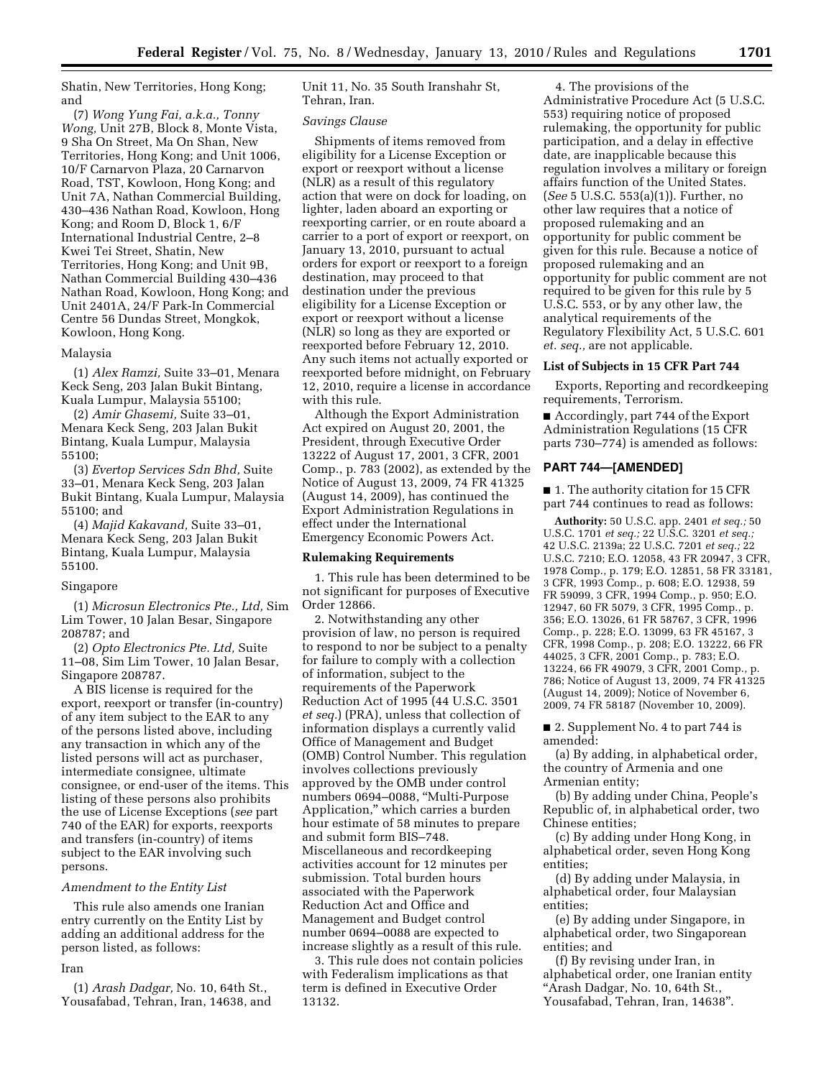Shatin, New Territories, Hong Kong; and

(7) *Wong Yung Fai, a.k.a., Tonny Wong,* Unit 27B, Block 8, Monte Vista, 9 Sha On Street, Ma On Shan, New Territories, Hong Kong; and Unit 1006, 10/F Carnarvon Plaza, 20 Carnarvon Road, TST, Kowloon, Hong Kong; and Unit 7A, Nathan Commercial Building, 430–436 Nathan Road, Kowloon, Hong Kong; and Room D, Block 1, 6/F International Industrial Centre, 2–8 Kwei Tei Street, Shatin, New Territories, Hong Kong; and Unit 9B, Nathan Commercial Building 430–436 Nathan Road, Kowloon, Hong Kong; and Unit 2401A, 24/F Park-In Commercial Centre 56 Dundas Street, Mongkok, Kowloon, Hong Kong.

### Malaysia

(1) *Alex Ramzi,* Suite 33–01, Menara Keck Seng, 203 Jalan Bukit Bintang, Kuala Lumpur, Malaysia 55100;

(2) *Amir Ghasemi,* Suite 33–01, Menara Keck Seng, 203 Jalan Bukit Bintang, Kuala Lumpur, Malaysia 55100;

(3) *Evertop Services Sdn Bhd,* Suite 33–01, Menara Keck Seng, 203 Jalan Bukit Bintang, Kuala Lumpur, Malaysia 55100; and

(4) *Majid Kakavand,* Suite 33–01, Menara Keck Seng, 203 Jalan Bukit Bintang, Kuala Lumpur, Malaysia 55100.

#### Singapore

(1) *Microsun Electronics Pte., Ltd,* Sim Lim Tower, 10 Jalan Besar, Singapore 208787; and

(2) *Opto Electronics Pte. Ltd,* Suite 11–08, Sim Lim Tower, 10 Jalan Besar, Singapore 208787.

A BIS license is required for the export, reexport or transfer (in-country) of any item subject to the EAR to any of the persons listed above, including any transaction in which any of the listed persons will act as purchaser, intermediate consignee, ultimate consignee, or end-user of the items. This listing of these persons also prohibits the use of License Exceptions (*see* part 740 of the EAR) for exports, reexports and transfers (in-country) of items subject to the EAR involving such persons.

### *Amendment to the Entity List*

This rule also amends one Iranian entry currently on the Entity List by adding an additional address for the person listed, as follows:

#### Iran

(1) *Arash Dadgar,* No. 10, 64th St., Yousafabad, Tehran, Iran, 14638, and Unit 11, No. 35 South Iranshahr St, Tehran, Iran.

### *Savings Clause*

Shipments of items removed from eligibility for a License Exception or export or reexport without a license (NLR) as a result of this regulatory action that were on dock for loading, on lighter, laden aboard an exporting or reexporting carrier, or en route aboard a carrier to a port of export or reexport, on January 13, 2010, pursuant to actual orders for export or reexport to a foreign destination, may proceed to that destination under the previous eligibility for a License Exception or export or reexport without a license (NLR) so long as they are exported or reexported before February 12, 2010. Any such items not actually exported or reexported before midnight, on February 12, 2010, require a license in accordance with this rule.

Although the Export Administration Act expired on August 20, 2001, the President, through Executive Order 13222 of August 17, 2001, 3 CFR, 2001 Comp., p. 783 (2002), as extended by the Notice of August 13, 2009, 74 FR 41325 (August 14, 2009), has continued the Export Administration Regulations in effect under the International Emergency Economic Powers Act.

### **Rulemaking Requirements**

1. This rule has been determined to be not significant for purposes of Executive Order 12866.

2. Notwithstanding any other provision of law, no person is required to respond to nor be subject to a penalty for failure to comply with a collection of information, subject to the requirements of the Paperwork Reduction Act of 1995 (44 U.S.C. 3501 *et seq.*) (PRA), unless that collection of information displays a currently valid Office of Management and Budget (OMB) Control Number. This regulation involves collections previously approved by the OMB under control numbers 0694–0088, ''Multi-Purpose Application,'' which carries a burden hour estimate of 58 minutes to prepare and submit form BIS–748. Miscellaneous and recordkeeping activities account for 12 minutes per submission. Total burden hours associated with the Paperwork Reduction Act and Office and Management and Budget control number 0694–0088 are expected to increase slightly as a result of this rule.

3. This rule does not contain policies with Federalism implications as that term is defined in Executive Order 13132.

4. The provisions of the Administrative Procedure Act (5 U.S.C. 553) requiring notice of proposed rulemaking, the opportunity for public participation, and a delay in effective date, are inapplicable because this regulation involves a military or foreign affairs function of the United States. (*See* 5 U.S.C. 553(a)(1)). Further, no other law requires that a notice of proposed rulemaking and an opportunity for public comment be given for this rule. Because a notice of proposed rulemaking and an opportunity for public comment are not required to be given for this rule by 5 U.S.C. 553, or by any other law, the analytical requirements of the Regulatory Flexibility Act, 5 U.S.C. 601 *et. seq.,* are not applicable.

## **List of Subjects in 15 CFR Part 744**

Exports, Reporting and recordkeeping requirements, Terrorism.

■ Accordingly, part 744 of the Export Administration Regulations (15 CFR parts 730–774) is amended as follows:

## **PART 744—[AMENDED]**

■ 1. The authority citation for 15 CFR part 744 continues to read as follows:

**Authority:** 50 U.S.C. app. 2401 *et seq.;* 50 U.S.C. 1701 *et seq.;* 22 U.S.C. 3201 *et seq.;*  42 U.S.C. 2139a; 22 U.S.C. 7201 *et seq.;* 22 U.S.C. 7210; E.O. 12058, 43 FR 20947, 3 CFR, 1978 Comp., p. 179; E.O. 12851, 58 FR 33181, 3 CFR, 1993 Comp., p. 608; E.O. 12938, 59 FR 59099, 3 CFR, 1994 Comp., p. 950; E.O. 12947, 60 FR 5079, 3 CFR, 1995 Comp., p. 356; E.O. 13026, 61 FR 58767, 3 CFR, 1996 Comp., p. 228; E.O. 13099, 63 FR 45167, 3 CFR, 1998 Comp., p. 208; E.O. 13222, 66 FR 44025, 3 CFR, 2001 Comp., p. 783; E.O. 13224, 66 FR 49079, 3 CFR, 2001 Comp., p. 786; Notice of August 13, 2009, 74 FR 41325 (August 14, 2009); Notice of November 6, 2009, 74 FR 58187 (November 10, 2009).

■ 2. Supplement No. 4 to part 744 is amended:

(a) By adding, in alphabetical order, the country of Armenia and one Armenian entity;

(b) By adding under China, People's Republic of, in alphabetical order, two Chinese entities;

(c) By adding under Hong Kong, in alphabetical order, seven Hong Kong entities;

(d) By adding under Malaysia, in alphabetical order, four Malaysian entities;

(e) By adding under Singapore, in alphabetical order, two Singaporean entities; and

(f) By revising under Iran, in alphabetical order, one Iranian entity ''Arash Dadgar, No. 10, 64th St., Yousafabad, Tehran, Iran, 14638''.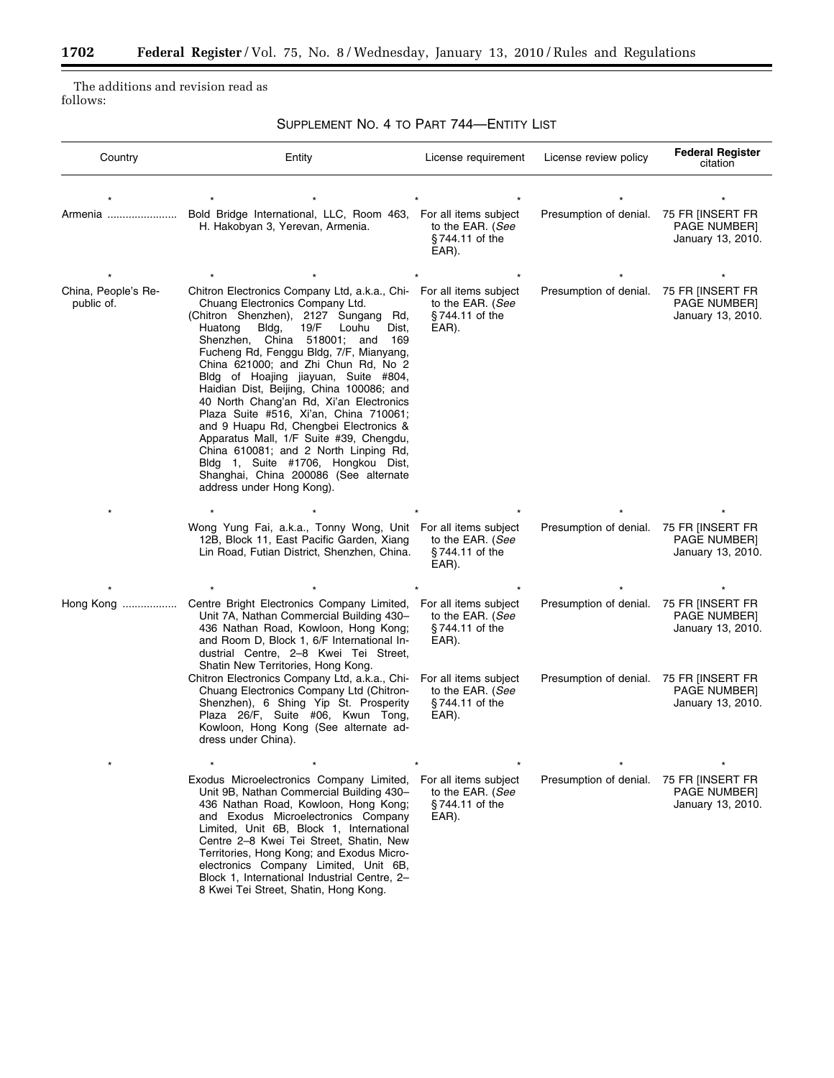The additions and revision read as follows:

 $\equiv$ 

SUPPLEMENT NO. 4 TO PART 744—ENTITY LIST

| Country                           | Entity                                                                                                                                                                                                                                                                                                                                                                                                                                                                                                                                                                                                                                                                                                                                  | License requirement                                                  | License review policy  | <b>Federal Register</b><br>citation                          |
|-----------------------------------|-----------------------------------------------------------------------------------------------------------------------------------------------------------------------------------------------------------------------------------------------------------------------------------------------------------------------------------------------------------------------------------------------------------------------------------------------------------------------------------------------------------------------------------------------------------------------------------------------------------------------------------------------------------------------------------------------------------------------------------------|----------------------------------------------------------------------|------------------------|--------------------------------------------------------------|
|                                   |                                                                                                                                                                                                                                                                                                                                                                                                                                                                                                                                                                                                                                                                                                                                         |                                                                      |                        |                                                              |
| Armenia                           | Bold Bridge International, LLC, Room 463, For all items subject<br>H. Hakobyan 3, Yerevan, Armenia.                                                                                                                                                                                                                                                                                                                                                                                                                                                                                                                                                                                                                                     | to the EAR. (See<br>§744.11 of the<br>EAR).                          | Presumption of denial. | 75 FR [INSERT FR<br>PAGE NUMBER]<br>January 13, 2010.        |
|                                   |                                                                                                                                                                                                                                                                                                                                                                                                                                                                                                                                                                                                                                                                                                                                         |                                                                      |                        |                                                              |
| China, People's Re-<br>public of. | Chitron Electronics Company Ltd, a.k.a., Chi- For all items subject<br>Chuang Electronics Company Ltd.<br>(Chitron Shenzhen), 2127 Sungang Rd,<br>19/F<br>Louhu<br>Huatong<br>Bldg,<br>Dist,<br>Shenzhen, China 518001; and<br>169<br>Fucheng Rd, Fenggu Bldg, 7/F, Mianyang,<br>China 621000; and Zhi Chun Rd, No 2<br>Bldg of Hoajing jiayuan, Suite #804,<br>Haidian Dist, Beijing, China 100086; and<br>40 North Chang'an Rd, Xi'an Electronics<br>Plaza Suite #516, Xi'an, China 710061;<br>and 9 Huapu Rd, Chengbei Electronics &<br>Apparatus Mall, 1/F Suite #39, Chengdu,<br>China 610081; and 2 North Linping Rd,<br>Bldg 1, Suite #1706, Hongkou Dist,<br>Shanghai, China 200086 (See alternate<br>address under Hong Kong). | to the EAR. (See<br>§744.11 of the<br>EAR).                          | Presumption of denial. | 75 FR [INSERT FR<br><b>PAGE NUMBER]</b><br>January 13, 2010. |
|                                   |                                                                                                                                                                                                                                                                                                                                                                                                                                                                                                                                                                                                                                                                                                                                         |                                                                      |                        |                                                              |
|                                   | Wong Yung Fai, a.k.a., Tonny Wong, Unit For all items subject<br>12B, Block 11, East Pacific Garden, Xiang<br>Lin Road, Futian District, Shenzhen, China.                                                                                                                                                                                                                                                                                                                                                                                                                                                                                                                                                                               | to the EAR. (See<br>§744.11 of the<br>EAR).                          | Presumption of denial. | 75 FR JINSERT FR<br>PAGE NUMBER]<br>January 13, 2010.        |
|                                   |                                                                                                                                                                                                                                                                                                                                                                                                                                                                                                                                                                                                                                                                                                                                         |                                                                      |                        |                                                              |
| Hong Kong                         | Centre Bright Electronics Company Limited,<br>Unit 7A, Nathan Commercial Building 430-<br>436 Nathan Road, Kowloon, Hong Kong;<br>and Room D, Block 1, 6/F International In-<br>dustrial Centre, 2-8 Kwei Tei Street,<br>Shatin New Territories, Hong Kong.                                                                                                                                                                                                                                                                                                                                                                                                                                                                             | For all items subject<br>to the EAR. (See<br>§744.11 of the<br>EAR). | Presumption of denial. | 75 FR JINSERT FR<br><b>PAGE NUMBER]</b><br>January 13, 2010. |
|                                   | Chitron Electronics Company Ltd, a.k.a., Chi-<br>Chuang Electronics Company Ltd (Chitron-<br>Shenzhen), 6 Shing Yip St. Prosperity<br>Plaza 26/F, Suite #06, Kwun Tong,<br>Kowloon, Hong Kong (See alternate ad-<br>dress under China).                                                                                                                                                                                                                                                                                                                                                                                                                                                                                                 | For all items subject<br>to the EAR. (See<br>§744.11 of the<br>EAR). | Presumption of denial. | 75 FR [INSERT FR<br><b>PAGE NUMBER]</b><br>January 13, 2010. |
| $\star$                           | $\star$<br>$\star$                                                                                                                                                                                                                                                                                                                                                                                                                                                                                                                                                                                                                                                                                                                      | $\star$<br>$\star$                                                   | $\star$                | $\star$                                                      |
|                                   | Exodus Microelectronics Company Limited,<br>Unit 9B, Nathan Commercial Building 430-<br>436 Nathan Road, Kowloon, Hong Kong;<br>and Exodus Microelectronics Company<br>Limited, Unit 6B, Block 1, International<br>Centre 2-8 Kwei Tei Street, Shatin, New<br>Territories, Hong Kong; and Exodus Micro-<br>electronics Company Limited, Unit 6B,<br>Block 1, International Industrial Centre, 2-<br>8 Kwei Tei Street, Shatin, Hong Kong.                                                                                                                                                                                                                                                                                               | For all items subject<br>to the EAR. (See<br>§744.11 of the<br>EAR). | Presumption of denial. | 75 FR JINSERT FR<br>PAGE NUMBER]<br>January 13, 2010.        |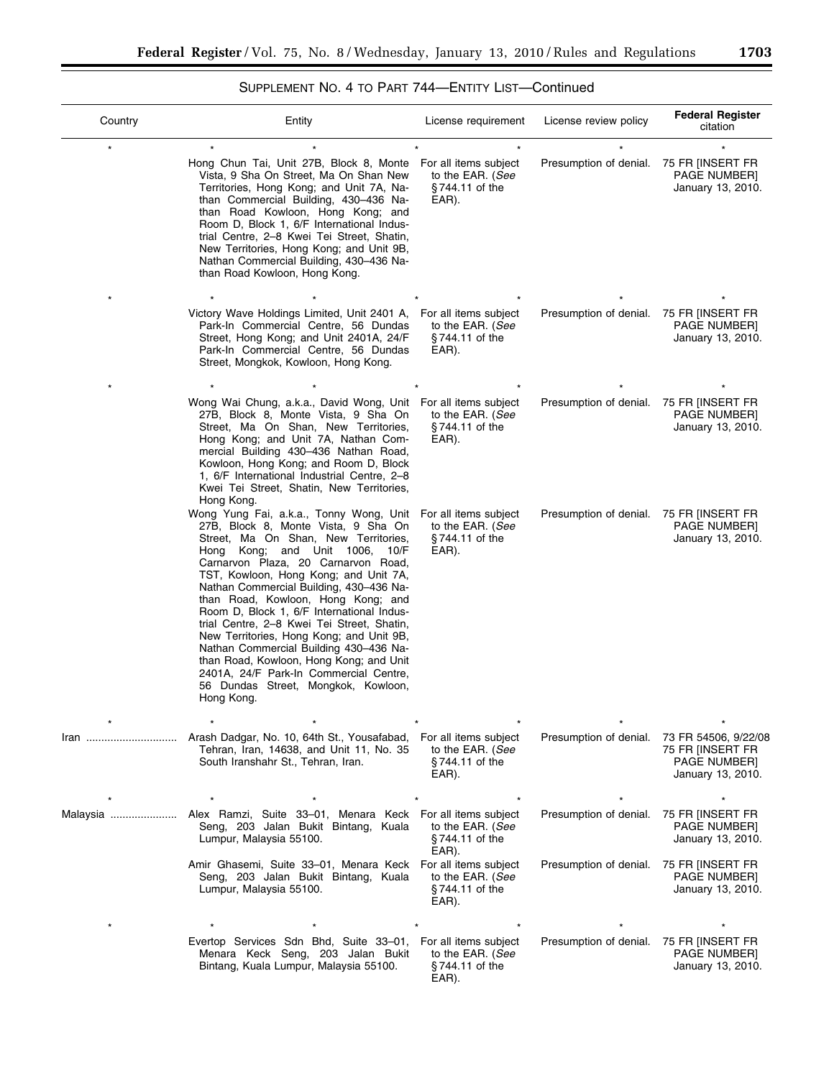# SUPPLEMENT NO. 4 TO PART 744—ENTITY LIST—Continued

| Country  | Entity                                                                                                                                                                                                                                                                                                                                                                                                                                                                                                                                                                                                                                               | License requirement                                                                 | License review policy                            | <b>Federal Register</b><br>citation                                                                            |
|----------|------------------------------------------------------------------------------------------------------------------------------------------------------------------------------------------------------------------------------------------------------------------------------------------------------------------------------------------------------------------------------------------------------------------------------------------------------------------------------------------------------------------------------------------------------------------------------------------------------------------------------------------------------|-------------------------------------------------------------------------------------|--------------------------------------------------|----------------------------------------------------------------------------------------------------------------|
|          | Hong Chun Tai, Unit 27B, Block 8, Monte<br>Vista, 9 Sha On Street, Ma On Shan New<br>Territories, Hong Kong; and Unit 7A, Na-<br>than Commercial Building, 430-436 Na-<br>than Road Kowloon, Hong Kong; and<br>Room D, Block 1, 6/F International Indus-<br>trial Centre, 2-8 Kwei Tei Street, Shatin,<br>New Territories, Hong Kong; and Unit 9B,<br>Nathan Commercial Building, 430-436 Na-<br>than Road Kowloon, Hong Kong.                                                                                                                                                                                                                       | For all items subject<br>to the EAR. (See<br>§744.11 of the<br>EAR).                | Presumption of denial.                           | 75 FR JINSERT FR<br>PAGE NUMBER]<br>January 13, 2010.                                                          |
|          | Victory Wave Holdings Limited, Unit 2401 A,<br>Park-In Commercial Centre, 56 Dundas<br>Street, Hong Kong; and Unit 2401A, 24/F<br>Park-In Commercial Centre, 56 Dundas<br>Street, Mongkok, Kowloon, Hong Kong.                                                                                                                                                                                                                                                                                                                                                                                                                                       | For all items subject<br>to the EAR. (See<br>§744.11 of the<br>EAR).                | Presumption of denial.                           | 75 FR JINSERT FR<br>PAGE NUMBER]<br>January 13, 2010.                                                          |
|          | Wong Wai Chung, a.k.a., David Wong, Unit For all items subject<br>27B, Block 8, Monte Vista, 9 Sha On<br>Street, Ma On Shan, New Territories,<br>Hong Kong; and Unit 7A, Nathan Com-<br>mercial Building 430-436 Nathan Road,<br>Kowloon, Hong Kong; and Room D, Block<br>1, 6/F International Industrial Centre, 2-8<br>Kwei Tei Street, Shatin, New Territories,<br>Hong Kong.                                                                                                                                                                                                                                                                     | to the EAR. (See<br>§744.11 of the<br>EAR).                                         | Presumption of denial.                           | 75 FR IINSERT FR<br><b>PAGE NUMBERI</b><br>January 13, 2010.                                                   |
|          | Wong Yung Fai, a.k.a., Tonny Wong, Unit<br>27B, Block 8, Monte Vista, 9 Sha On<br>Street, Ma On Shan, New Territories,<br>Hong Kong; and Unit 1006, 10/F<br>Carnarvon Plaza, 20 Carnarvon Road,<br>TST, Kowloon, Hong Kong; and Unit 7A,<br>Nathan Commercial Building, 430-436 Na-<br>than Road, Kowloon, Hong Kong; and<br>Room D, Block 1, 6/F International Indus-<br>trial Centre, 2–8 Kwei Tei Street, Shatin,<br>New Territories, Hong Kong; and Unit 9B,<br>Nathan Commercial Building 430-436 Na-<br>than Road, Kowloon, Hong Kong; and Unit<br>2401A, 24/F Park-In Commercial Centre,<br>56 Dundas Street, Mongkok, Kowloon,<br>Hong Kong. | For all items subject<br>to the EAR. (See<br>§744.11 of the<br>EAR).                | Presumption of denial.                           | 75 FR INSERT FR<br>PAGE NUMBER]<br>January 13, 2010.                                                           |
| Iran     | Arash Dadgar, No. 10, 64th St., Yousafabad,<br>Tehran, Iran, 14638, and Unit 11, No. 35<br>South Iranshahr St., Tehran, Iran.                                                                                                                                                                                                                                                                                                                                                                                                                                                                                                                        | $\star$<br>For all items subject<br>to the EAR. (See<br>$§744.11$ of the<br>EAR).   | Presumption of denial.                           | $\star$<br>73 FR 54506, 9/22/08<br>75 FR [INSERT FR<br>PAGE NUMBER]<br>January 13, 2010.                       |
| Malaysia | Alex Ramzi, Suite 33-01, Menara Keck For all items subject<br>Seng, 203 Jalan Bukit Bintang, Kuala<br>Lumpur, Malaysia 55100.<br>Amir Ghasemi, Suite 33-01, Menara Keck For all items subject<br>Seng, 203 Jalan Bukit Bintang, Kuala<br>Lumpur, Malaysia 55100.                                                                                                                                                                                                                                                                                                                                                                                     | to the EAR. (See<br>$§744.11$ of the<br>EAR).<br>to the EAR. (See<br>§744.11 of the | Presumption of denial.<br>Presumption of denial. | 75 FR IINSERT FR<br>PAGE NUMBER]<br>January 13, 2010.<br>75 FR [INSERT FR<br>PAGE NUMBER]<br>January 13, 2010. |
|          | Evertop Services Sdn Bhd, Suite 33-01,<br>Menara Keck Seng, 203 Jalan Bukit<br>Bintang, Kuala Lumpur, Malaysia 55100.                                                                                                                                                                                                                                                                                                                                                                                                                                                                                                                                | EAR).<br>For all items subject<br>to the EAR. (See<br>§744.11 of the<br>EAR).       | Presumption of denial.                           | 75 FR JINSERT FR<br>PAGE NUMBER]<br>January 13, 2010.                                                          |